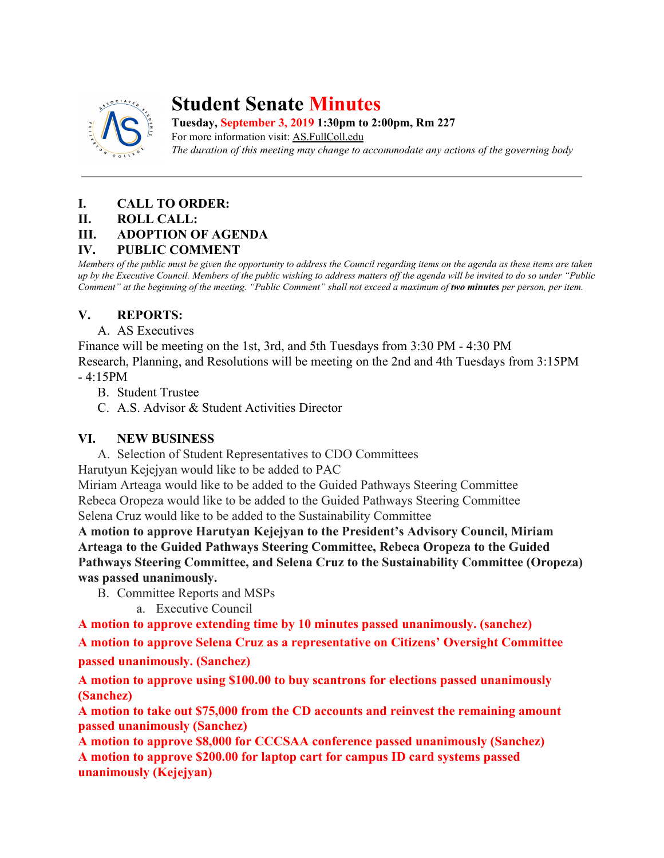

# **Student Senate Minutes**

**Tuesday, September 3, 2019 1:30pm to 2:00pm, Rm 227** For more information visit: AS.FullColl.edu *The duration of this meeting may change to accommodate any actions of the governing body*

# **I. CALL TO ORDER:**

#### **II. ROLL CALL:**

# **III. ADOPTION OF AGENDA**

# **IV. PUBLIC COMMENT**

*Members of the public must be given the opportunity to address the Council regarding items on the agenda as these items are taken up by the Executive Council. Members of the public wishing to address matters off the agenda will be invited to do so under "Public Comment" at the beginning of the meeting. "Public Comment" shall not exceed a maximum of two minutes per person, per item.*

# **V. REPORTS:**

## A. AS Executives

Finance will be meeting on the 1st, 3rd, and 5th Tuesdays from 3:30 PM - 4:30 PM Research, Planning, and Resolutions will be meeting on the 2nd and 4th Tuesdays from 3:15PM - 4:15PM

B. Student Trustee

C. A.S. Advisor & Student Activities Director

# **VI. NEW BUSINESS**

A. Selection of Student Representatives to CDO Committees

Harutyun Kejejyan would like to be added to PAC

Miriam Arteaga would like to be added to the Guided Pathways Steering Committee Rebeca Oropeza would like to be added to the Guided Pathways Steering Committee Selena Cruz would like to be added to the Sustainability Committee

**A motion to approve Harutyan Kejejyan to the President's Advisory Council, Miriam Arteaga to the Guided Pathways Steering Committee, Rebeca Oropeza to the Guided Pathways Steering Committee, and Selena Cruz to the Sustainability Committee (Oropeza) was passed unanimously.**

- B. Committee Reports and MSPs
	- a. Executive Council

**A motion to approve extending time by 10 minutes passed unanimously. (sanchez)**

**A motion to approve Selena Cruz as a representative on Citizens' Oversight Committee passed unanimously. (Sanchez)**

**A motion to approve using \$100.00 to buy scantrons for elections passed unanimously (Sanchez)**

**A motion to take out \$75,000 from the CD accounts and reinvest the remaining amount passed unanimously (Sanchez)**

**A motion to approve \$8,000 for CCCSAA conference passed unanimously (Sanchez) A motion to approve \$200.00 for laptop cart for campus ID card systems passed unanimously (Kejejyan)**